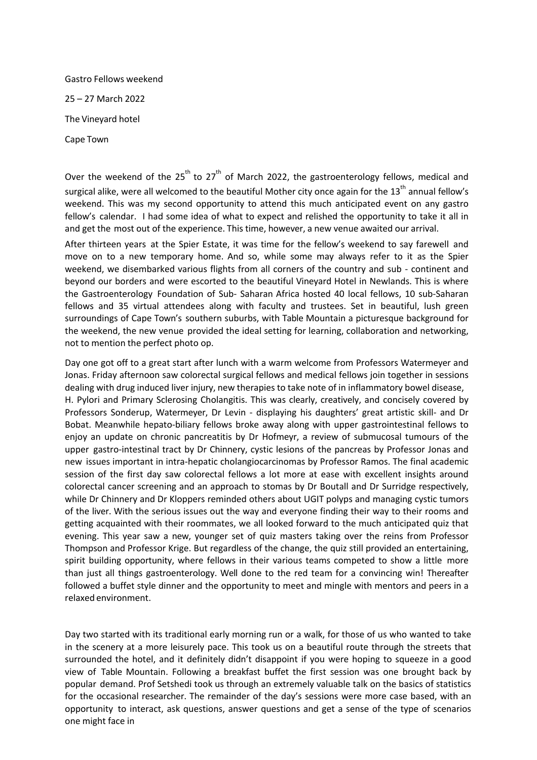Gastro Fellows weekend 25 – 27 March 2022 The Vineyard hotel Cape Town

Over the weekend of the  $25<sup>th</sup>$  to  $27<sup>th</sup>$  of March 2022, the gastroenterology fellows, medical and surgical alike, were all welcomed to the beautiful Mother city once again for the 13<sup>th</sup> annual fellow's weekend. This was my second opportunity to attend this much anticipated event on any gastro fellow's calendar. I had some idea of what to expect and relished the opportunity to take it all in and get the most out of the experience. This time, however, a new venue awaited our arrival.

After thirteen years at the Spier Estate, it was time for the fellow's weekend to say farewell and move on to a new temporary home. And so, while some may always refer to it as the Spier weekend, we disembarked various flights from all corners of the country and sub - continent and beyond our borders and were escorted to the beautiful Vineyard Hotel in Newlands. This is where the Gastroenterology Foundation of Sub- Saharan Africa hosted 40 local fellows, 10 sub-Saharan fellows and 35 virtual attendees along with faculty and trustees. Set in beautiful, lush green surroundings of Cape Town's southern suburbs, with Table Mountain a picturesque background for the weekend, the new venue provided the ideal setting for learning, collaboration and networking, not to mention the perfect photo op.

Day one got off to a great start after lunch with a warm welcome from Professors Watermeyer and Jonas. Friday afternoon saw colorectal surgical fellows and medical fellows join together in sessions dealing with drug induced liver injury, new therapies to take note of in inflammatory bowel disease, H. Pylori and Primary Sclerosing Cholangitis. This was clearly, creatively, and concisely covered by Professors Sonderup, Watermeyer, Dr Levin - displaying his daughters' great artistic skill- and Dr Bobat. Meanwhile hepato-biliary fellows broke away along with upper gastrointestinal fellows to enjoy an update on chronic pancreatitis by Dr Hofmeyr, a review of submucosal tumours of the upper gastro-intestinal tract by Dr Chinnery, cystic lesions of the pancreas by Professor Jonas and new issues important in intra-hepatic cholangiocarcinomas by Professor Ramos. The final academic session of the first day saw colorectal fellows a lot more at ease with excellent insights around colorectal cancer screening and an approach to stomas by Dr Boutall and Dr Surridge respectively, while Dr Chinnery and Dr Kloppers reminded others about UGIT polyps and managing cystic tumors of the liver. With the serious issues out the way and everyone finding their way to their rooms and getting acquainted with their roommates, we all looked forward to the much anticipated quiz that evening. This year saw a new, younger set of quiz masters taking over the reins from Professor Thompson and Professor Krige. But regardless of the change, the quiz still provided an entertaining, spirit building opportunity, where fellows in their various teams competed to show a little more than just all things gastroenterology. Well done to the red team for a convincing win! Thereafter followed a buffet style dinner and the opportunity to meet and mingle with mentors and peers in a relaxed environment.

Day two started with its traditional early morning run or a walk, for those of us who wanted to take in the scenery at a more leisurely pace. This took us on a beautiful route through the streets that surrounded the hotel, and it definitely didn't disappoint if you were hoping to squeeze in a good view of Table Mountain. Following a breakfast buffet the first session was one brought back by popular demand. Prof Setshedi took us through an extremely valuable talk on the basics of statistics for the occasional researcher. The remainder of the day's sessions were more case based, with an opportunity to interact, ask questions, answer questions and get a sense of the type of scenarios one might face in